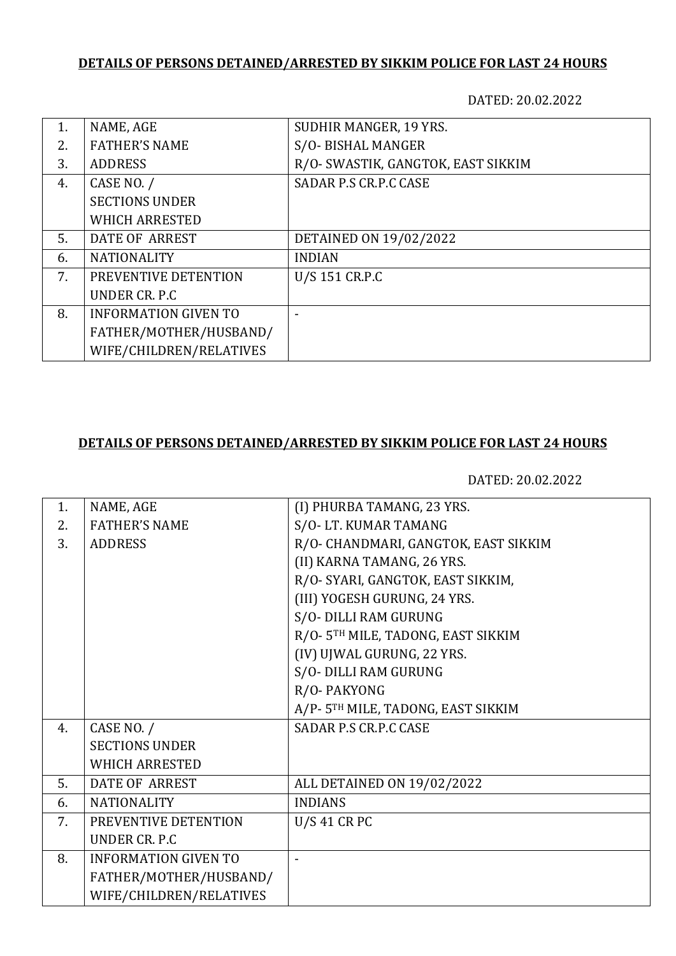## **DETAILS OF PERSONS DETAINED/ARRESTED BY SIKKIM POLICE FOR LAST 24 HOURS**

DATED: 20.02.2022

| 1. | NAME, AGE                   | SUDHIR MANGER, 19 YRS.             |
|----|-----------------------------|------------------------------------|
| 2. | <b>FATHER'S NAME</b>        | S/O-BISHAL MANGER                  |
| 3. | <b>ADDRESS</b>              | R/O- SWASTIK, GANGTOK, EAST SIKKIM |
| 4. | CASE NO. /                  | SADAR P.S CR.P.C CASE              |
|    | <b>SECTIONS UNDER</b>       |                                    |
|    | <b>WHICH ARRESTED</b>       |                                    |
| 5. | DATE OF ARREST              | DETAINED ON 19/02/2022             |
| 6. | <b>NATIONALITY</b>          | <b>INDIAN</b>                      |
| 7. | PREVENTIVE DETENTION        | U/S 151 CR.P.C                     |
|    | UNDER CR. P.C.              |                                    |
| 8. | <b>INFORMATION GIVEN TO</b> |                                    |
|    | FATHER/MOTHER/HUSBAND/      |                                    |
|    | WIFE/CHILDREN/RELATIVES     |                                    |

## **DETAILS OF PERSONS DETAINED/ARRESTED BY SIKKIM POLICE FOR LAST 24 HOURS**

DATED: 20.02.2022

| 1. | NAME, AGE                   | (I) PHURBA TAMANG, 23 YRS.           |
|----|-----------------------------|--------------------------------------|
| 2. | <b>FATHER'S NAME</b>        | S/O-LT. KUMAR TAMANG                 |
| 3. | <b>ADDRESS</b>              | R/O- CHANDMARI, GANGTOK, EAST SIKKIM |
|    |                             | (II) KARNA TAMANG, 26 YRS.           |
|    |                             | R/O- SYARI, GANGTOK, EAST SIKKIM,    |
|    |                             | (III) YOGESH GURUNG, 24 YRS.         |
|    |                             | S/O- DILLI RAM GURUNG                |
|    |                             | R/O-5TH MILE, TADONG, EAST SIKKIM    |
|    |                             | (IV) UJWAL GURUNG, 22 YRS.           |
|    |                             | S/O- DILLI RAM GURUNG                |
|    |                             | R/O-PAKYONG                          |
|    |                             | A/P-5TH MILE, TADONG, EAST SIKKIM    |
| 4. | CASE NO. /                  | <b>SADAR P.S CR.P.C CASE</b>         |
|    | <b>SECTIONS UNDER</b>       |                                      |
|    | <b>WHICH ARRESTED</b>       |                                      |
| 5. | <b>DATE OF ARREST</b>       | ALL DETAINED ON 19/02/2022           |
| 6. | <b>NATIONALITY</b>          | <b>INDIANS</b>                       |
| 7. | PREVENTIVE DETENTION        | $U/S$ 41 CR PC                       |
|    | UNDER CR. P.C               |                                      |
| 8. | <b>INFORMATION GIVEN TO</b> |                                      |
|    | FATHER/MOTHER/HUSBAND/      |                                      |
|    | WIFE/CHILDREN/RELATIVES     |                                      |